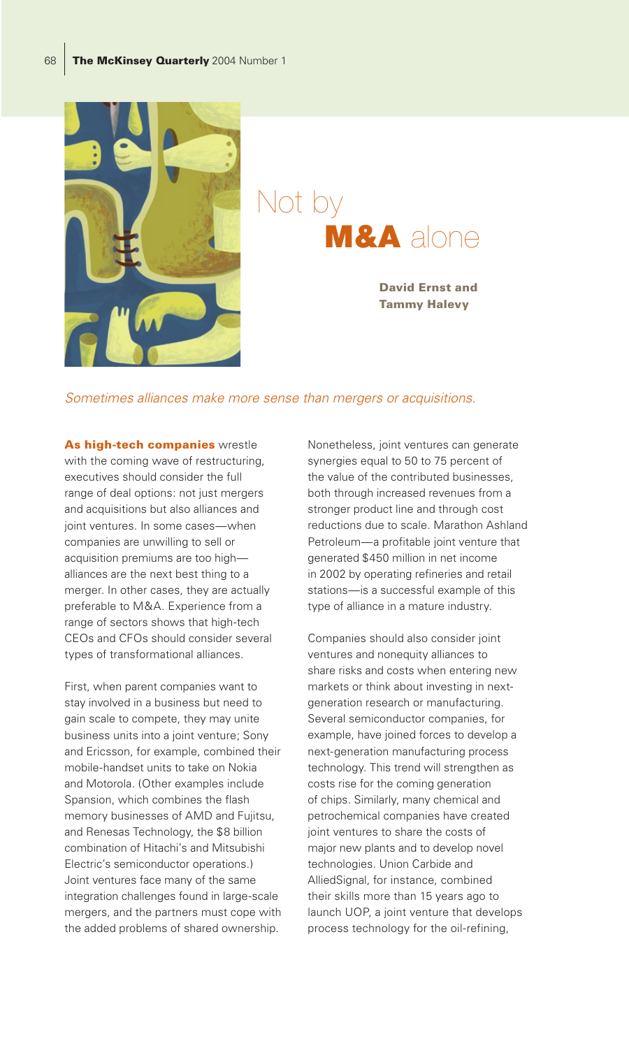

## Not by M&A alone

David Ernst and Tammy Halevy

## Sometimes alliances make more sense than mergers or acquisitions.

As high-tech companies wrestle with the coming wave of restructuring, executives should consider the full range of deal options: not just mergers and acquisitions but also alliances and joint ventures. In some cases—when companies are unwilling to sell or acquisition premiums are too high alliances are the next best thing to a merger. In other cases, they are actually preferable to M&A. Experience from a range of sectors shows that high-tech CEOs and CFOs should consider several types of transformational alliances.

First, when parent companies want to stay involved in a business but need to gain scale to compete, they may unite business units into a joint venture; Sony and Ericsson, for example, combined their mobile-handset units to take on Nokia and Motorola. (Other examples include Spansion, which combines the flash memory businesses of AMD and Fujitsu, and Renesas Technology, the \$8 billion combination of Hitachi's and Mitsubishi Electric's semiconductor operations.) Joint ventures face many of the same integration challenges found in large-scale mergers, and the partners must cope with the added problems of shared ownership.

Nonetheless, joint ventures can generate synergies equal to 50 to 75 percent of the value of the contributed businesses, both through increased revenues from a stronger product line and through cost reductions due to scale. Marathon Ashland Petroleum—a profitable joint venture that generated \$450 million in net income in 2002 by operating refineries and retail stations—is a successful example of this type of alliance in a mature industry.

Companies should also consider joint ventures and nonequity alliances to share risks and costs when entering new markets or think about investing in nextgeneration research or manufacturing. Several semiconductor companies, for example, have joined forces to develop a next-generation manufacturing process technology. This trend will strengthen as costs rise for the coming generation of chips. Similarly, many chemical and petrochemical companies have created joint ventures to share the costs of major new plants and to develop novel technologies. Union Carbide and AlliedSignal, for instance, combined their skills more than 15 years ago to launch UOP, a joint venture that develops process technology for the oil-refining,